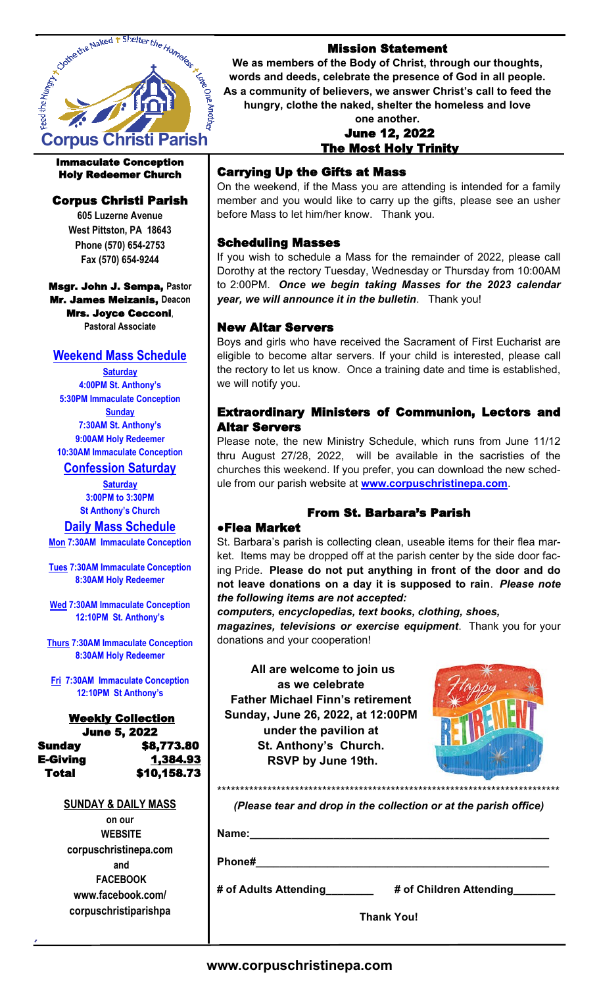

### Immaculate Conception Holy Redeemer Church

# Corpus Christi Parish

**605 Luzerne Avenue West Pittston, PA 18643 Phone (570) 654-2753 Fax (570) 654-9244**

Msgr. John J. Sempa, **Pastor** Mr. James Meizanis, **Deacon** Mrs. Joyce Cecconi, **Pastoral Associate**

# **Weekend Mass Schedule**

**Saturday 4:00PM St. Anthony's 5:30PM Immaculate Conception Sunday 7:30AM St. Anthony's 9:00AM Holy Redeemer 10:30AM Immaculate Conception**

**Confession Saturday**

**Saturday 3:00PM to 3:30PM St Anthony's Church**

**Daily Mass Schedule** 

**Mon 7:30AM Immaculate Conception**

**Tues 7:30AM Immaculate Conception 8:30AM Holy Redeemer** 

**Wed 7:30AM Immaculate Conception 12:10PM St. Anthony's**

**Thurs 7:30AM Immaculate Conception 8:30AM Holy Redeemer**

**Fri 7:30AM Immaculate Conception 12:10PM St Anthony's**

#### Weekly Collection June 5, 2022 Sunday \$8,773.80 **E-Giving 1,384.93** Total \$10,158.73

### **SUNDAY & DAILY MASS**

**on our WEBSITE corpuschristinepa.com and FACEBOOK www.facebook.com/ corpuschristiparishpa**

### Mission Statement

**We as members of the Body of Christ, through our thoughts, words and deeds, celebrate the presence of God in all people. As a community of believers, we answer Christ's call to feed the hungry, clothe the naked, shelter the homeless and love** 

### **one another.**  June 12, 2022 The Most Holy Trinity

# Carrying Up the Gifts at Mass

On the weekend, if the Mass you are attending is intended for a family member and you would like to carry up the gifts, please see an usher before Mass to let him/her know. Thank you.

### Scheduling Masses

If you wish to schedule a Mass for the remainder of 2022, please call Dorothy at the rectory Tuesday, Wednesday or Thursday from 10:00AM to 2:00PM. *Once we begin taking Masses for the 2023 calendar year, we will announce it in the bulletin*. Thank you!

### New Altar Servers

Boys and girls who have received the Sacrament of First Eucharist are eligible to become altar servers. If your child is interested, please call the rectory to let us know. Once a training date and time is established, we will notify you.

### Extraordinary Ministers of Communion, Lectors and Altar Servers

Please note, the new Ministry Schedule, which runs from June 11/12 thru August 27/28, 2022, will be available in the sacristies of the churches this weekend. If you prefer, you can download the new schedule from our parish website at **www.corpuschristinepa.com**.

# From St. Barbara's Parish

### ●Flea Market

St. Barbara's parish is collecting clean, useable items for their flea market. Items may be dropped off at the parish center by the side door facing Pride. **Please do not put anything in front of the door and do not leave donations on a day it is supposed to rain**. *Please note the following items are not accepted:* 

*computers, encyclopedias, text books, clothing, shoes,* 

*magazines, televisions or exercise equipment*. Thank you for your donations and your cooperation!

 **All are welcome to join us as we celebrate Father Michael Finn's retirement Sunday, June 26, 2022, at 12:00PM under the pavilion at St. Anthony's Church. RSVP by June 19th.**



*(Please tear and drop in the collection or at the parish office)* 

\*\*\*\*\*\*\*\*\*\*\*\*\*\*\*\*\*\*\*\*\*\*\*\*\*\*\*\*\*\*\*\*\*\*\*\*\*\*\*\*\*\*\*\*\*\*\*\*\*\*\*\*\*\*\*\*\*\*\*\*\*\*\*\*\*\*\*\*\*\*\*\*\*\*\*

**Name:\_\_\_\_\_\_\_\_\_\_\_\_\_\_\_\_\_\_\_\_\_\_\_\_\_\_\_\_\_\_\_\_\_\_\_\_\_\_\_\_\_\_\_\_\_\_\_\_\_\_**

**Phone#\_\_\_\_\_\_\_\_\_\_\_\_\_\_\_\_\_\_\_\_\_\_\_\_\_\_\_\_\_\_\_\_\_\_\_\_\_\_\_\_\_\_\_\_\_\_\_\_\_**

**# of Adults Attending\_\_\_\_\_\_\_\_ # of Children Attending\_\_\_\_\_\_\_**

**Thank You!**